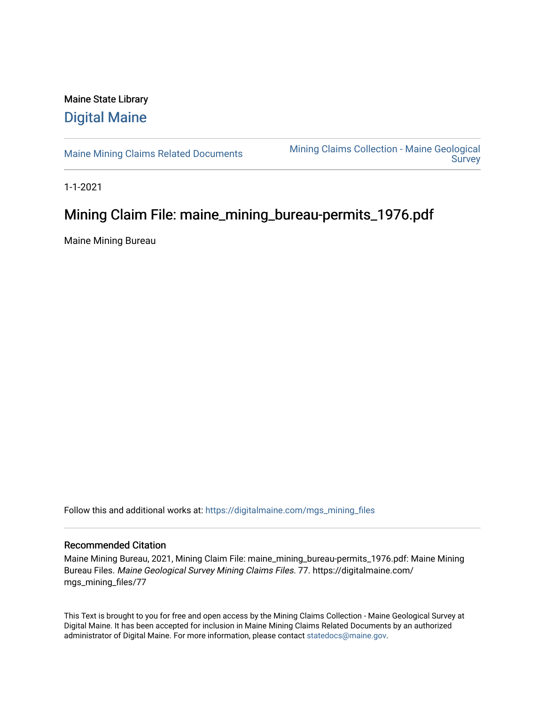## Maine State Library [Digital Maine](https://digitalmaine.com/)

[Maine Mining Claims Related Documents](https://digitalmaine.com/mgs_mining_files) Mining Claims Collection - Maine Geological **Survey** 

1-1-2021

# Mining Claim File: maine\_mining\_bureau-permits\_1976.pdf

Maine Mining Bureau

Follow this and additional works at: [https://digitalmaine.com/mgs\\_mining\\_files](https://digitalmaine.com/mgs_mining_files?utm_source=digitalmaine.com%2Fmgs_mining_files%2F77&utm_medium=PDF&utm_campaign=PDFCoverPages) 

### Recommended Citation

Maine Mining Bureau, 2021, Mining Claim File: maine\_mining\_bureau-permits\_1976.pdf: Maine Mining Bureau Files. Maine Geological Survey Mining Claims Files. 77. https://digitalmaine.com/ mgs\_mining\_files/77

This Text is brought to you for free and open access by the Mining Claims Collection - Maine Geological Survey at Digital Maine. It has been accepted for inclusion in Maine Mining Claims Related Documents by an authorized administrator of Digital Maine. For more information, please contact [statedocs@maine.gov](mailto:statedocs@maine.gov).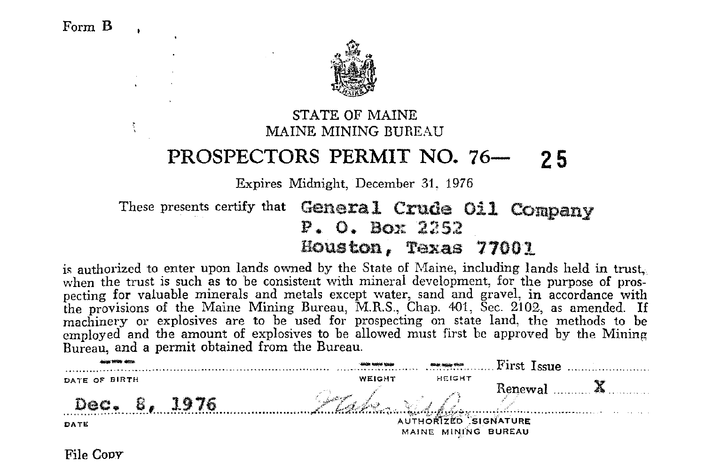÷



STATE OF MAINE MAINE MINING BUREAU

### **PROSPECTORS PERMIT NO. 76- 2 5**

Expires Midnight, December 31. 1976

These presents certify that **General Crude Oil Company** P. O. Box 2252 Houston, Texas 77001

is authorized to enter upon lands owned by the State of Maine, including lands held in trust, when the trust is such as to be consistent with mineral development, for the purpose of prospecting for valuable minerals and metals except water, sand and gravel, in accordance with the provisions of the Maine Mining Bureau, M.R.S., Chap. 401, Sec. 2102, as amended. If machinery or explosives are to be used for prospecting on state land, the methods to be employed and the amount of explosives to be allowed must first be approved by the Mining

| Bureau, and a permit obtained from the Bureau. |                                             |                         |                      |  |
|------------------------------------------------|---------------------------------------------|-------------------------|----------------------|--|
| Allega With Money                              | <b>SOUTH HOME WITH</b>                      | <b>River again them</b> | First Issue          |  |
| DATE OF BIRTH                                  | WEIGHT                                      | HEIGHT                  | Renewal $\mathbf{X}$ |  |
| В.<br>1976<br>Dac .                            | Stake Vill                                  |                         |                      |  |
| DATE                                           | AUTHORIZED SIGNATURE<br>MAINE MINING BUREAU |                         |                      |  |

File Coov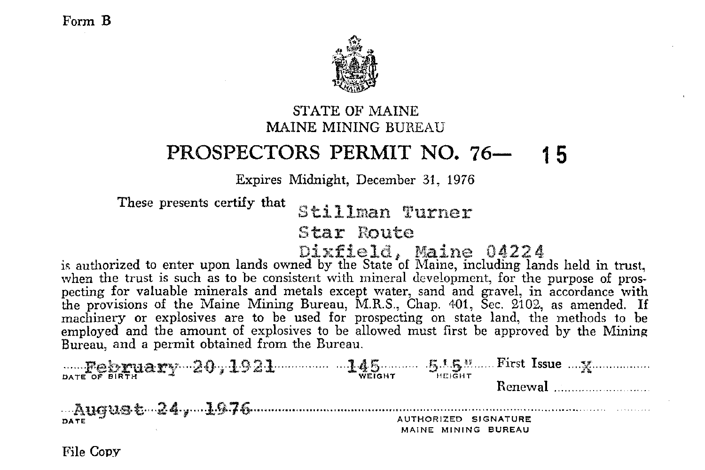

#### STATE OF MAINE MAINE MINING BUREAU

### **PROSPECTORS PERMIT NO. 76- 1 5**

Expires Midnight, December 31, 1976

These presents certify **that** 

Stillman Turner

Star Route

 $\overline{\text{Dirfield}}$ , Maine 04224 is authorized to enter upon lands owned by the State of Maine, including lands held in trust, when the trust is such as to be consistent with mineral development, for the purpose of prospecting for valuable minerals and metals except water, sand and gravel, in accordance with the provisions of the Maine Mining Bureau, M\_R\_S\_, Chap\_ +01, Sec\_ 2102, as amended\_ If machinery or explosives are to be used for prospecting on state land, the methods to be employed and the amount of explosives to be allowed must first be approved by the Mining Bureau, and a permit obtained from the Bureau\_

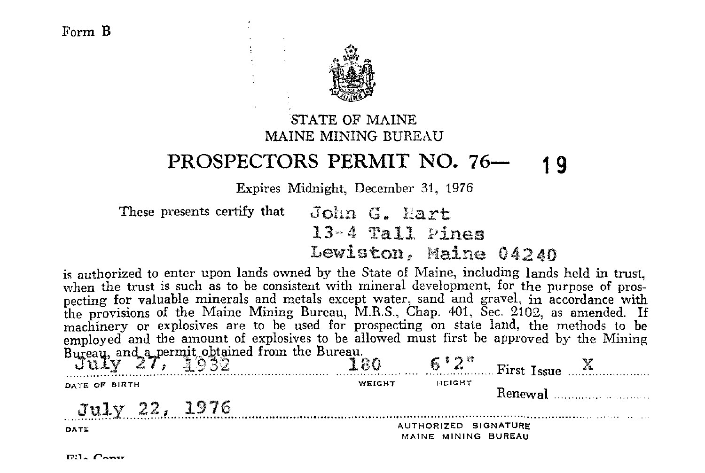

STATE OF MAINE MAINE MINING BHREAH

#### PROSPECTORS PERMIT NO. 76-1 Q

Expires Midnight, December 31, 1976

These presents certify that John G. Hart  $13-4$  Tall Pines Lewiston, Maine 04240

is authorized to enter upon lands owned by the State of Maine, including lands held in trust. when the trust is such as to be consistent with mineral development, for the purpose of prospecting for valuable minerals and metals except water, sand and gravel, in accordance with the provisions of the Maine Mining Bureau, M.R.S., Chap. 401, Sec. 2102, as amended. If machinery or explosives are to be used for prospecting on state land, the methods to be employed and the amount of explosives to be allowed must first be approved by the Mining Bureau, and a permit obtained from the Bureau.<br>July 27, 1932  $\overline{180}$  6'2" First Issue X DATE OF BIRTH WEIGHT HEIGHT Renewal

July 22, 1976

AUTHORIZED SIGNATURE MAINE MINING BUREAU

 $E1.$   $C_{21}$ 

DATE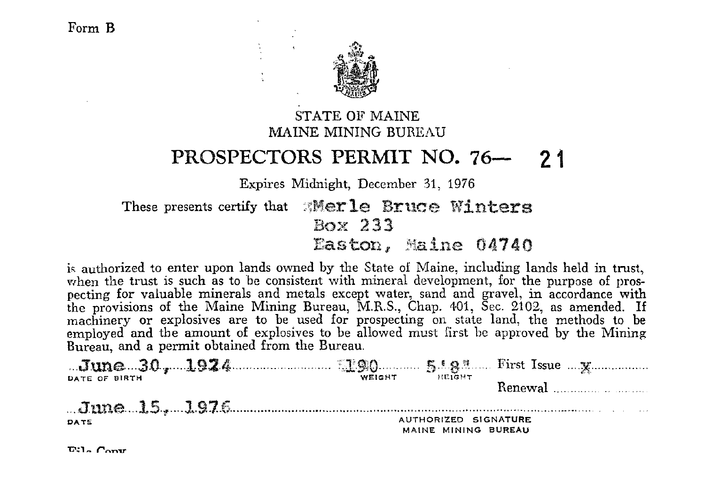

#### STATE OF MAINE MAINE MINING BUREAU

### PROSPECTORS PERMIT NO. 76- 21

Expires Midnight, December 31, 1976

These presents certify that Werle Bruce Winters Box 233 Easton, Maine 04740

is authorized to enter upon lands owned by the State of Maine, including lands held in trust, when the trust is such as to be consistent with mineral development, for the purpose of prospecting for valuable minerals and metals except water, sand and gravel, in accordance with the provisions of the Maine Mining Bureau, M.R.S., Chap. 401, Sec. 2102, as amended. If machinery or explosives are to be used for prospecting on state land, the methods to be employed and the amount of explosives to be allowed must first be approved by the Mining Bureau, and a permit obtained from the Bureau.

|               | WEIGHT | HEIGHT                                      |  |
|---------------|--------|---------------------------------------------|--|
| DATE OF BIRTH |        |                                             |  |
|               |        |                                             |  |
| DATE          |        | AUTHORIZED SIGNATURE<br>MAINE MINING BUREAU |  |

 $E:1.$  Conv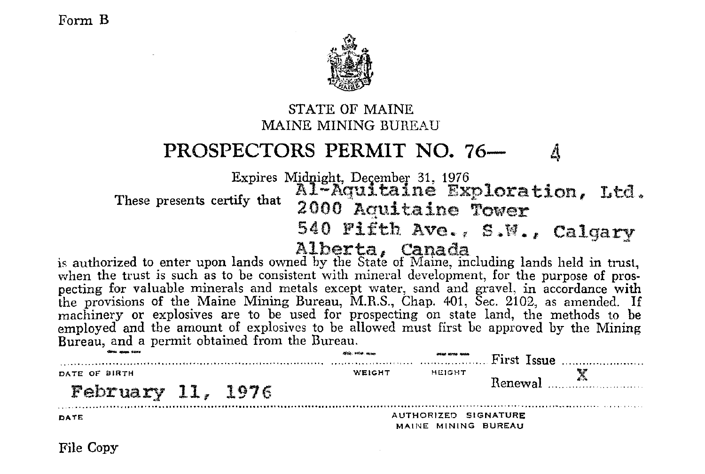

#### STATE OF MAINE MAINE MINING BUREAU

### PROSPECTORS PERMIT NO. 76-

Expires Midnight, December 31, 1976<br>
These presents certify that 2000 Aquitaine Fower 2000 Aquitaine Tower<br>540 Fifth Ave., S.W., Calgary

is authorized to enter upon lands owned by the State of Maine, including lands held in trust, when the trust is such as to be consistent with mineral development, for the purpose of prospecting for valuable minerals and metals except water, sand and graveL in accordance with the provisions of the Maine Mining Bureau, M.R.S., Chap. 401, Sec. 2,102, as amended. If machinery or explosives are to be used for prospecting on state land, the methods to be employed and the amount of explosives to be allowed must first be approved by the Mining Bureau, and a permit obtained from the Bureau.

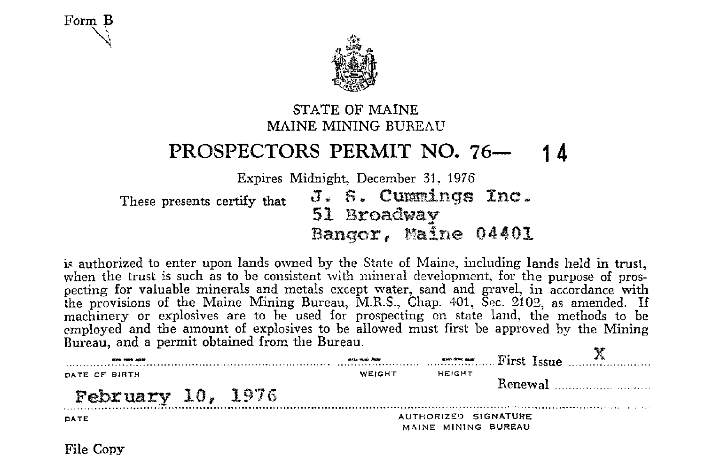Form **B**   $\mathcal{A}^-$ 



#### STATE OF MAINE MAINE MINING BUREAU

## **PROSPECTORS PERMIT NO. 76- 1 4**

Expires Midnight, December 31, 1976

These presents certify that  $J. S.$  Cunnings Inc. 51 Broadway Bangor, Maine 04401

is authorized to enter upon lands owned by the State of Maine, including lands held in trust, when the trust is such as to be consistent with mineral development, for the purpose of prospecting for valuable minerals and metals except water, sand and gravel, in accordance with the provisions of the Maine Mining Bureau, M.R.S., Chap. 401, Sec. 2102, as amended. If machinery or explosives are to be used for prospecting on state land, the methods to be employed and the amount of explosives to be allowed must first be approved by the Mining Bureau, and a permit obtained from the Bureau.

| stress with asket   |  | AND MAIL ROOM |                                             |  | $\cdots$ $\cdots$ $\cdots$ $\cdots$ $\cdots$ $\cdots$ $\cdots$ $\cdots$ $\cdots$ $\cdots$ $\cdots$ $\cdots$ $\cdots$ $\cdots$ $\cdots$ $\cdots$ $\cdots$ $\cdots$ $\cdots$ $\cdots$ $\cdots$ $\cdots$ $\cdots$ $\cdots$ $\cdots$ $\cdots$ $\cdots$ $\cdots$ $\cdots$ $\cdots$ $\cdots$ $\cdots$ $\cdots$ $\cdots$ $\cdots$ $\cdots$ $\cdots$ |
|---------------------|--|---------------|---------------------------------------------|--|----------------------------------------------------------------------------------------------------------------------------------------------------------------------------------------------------------------------------------------------------------------------------------------------------------------------------------------------|
| DATE OF BIRTH       |  | <b>WEIGHT</b> | HEIGHT                                      |  | Renewal <u></u>                                                                                                                                                                                                                                                                                                                              |
| February $10, 1976$ |  |               |                                             |  |                                                                                                                                                                                                                                                                                                                                              |
| DATE                |  |               | AUTHORIZED SIGNATURE<br>MAINE MINING BUREAU |  |                                                                                                                                                                                                                                                                                                                                              |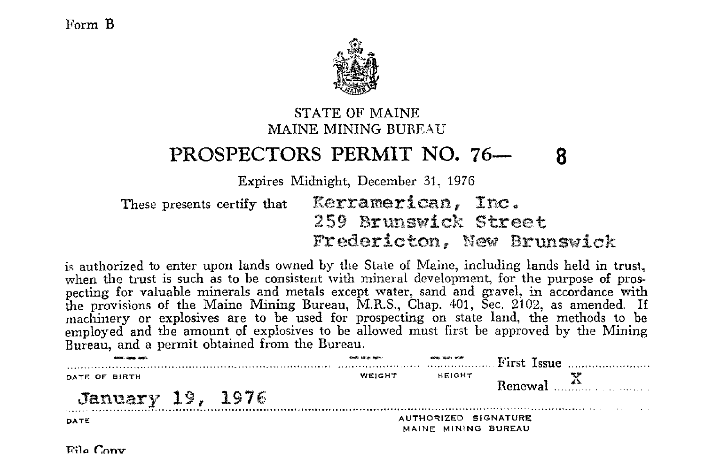

### STATE OF MAINE MAINE MINING BUREAU

### **PROSPECTORS PERMIT NO. 76- 8**

Expires Midnight, December 31, 1976

These presents certify that **Kerramerican, Inc. 259 Brunswick Street**  Fredericton, New **Brunswick** 

is authorized to enter upon lands owned by the State of Maine, including lands held in trust, when the trust is such as to be consistent with mineral development, for the purpose of prospecting for valuable minerals and metals except water, sand and gravel, in accordance with the provisions of the Maine Mining Bureau, M.R.S., Chap. 401, Sec. 2102, as amended. If machinery or explosives are to be used for prospecting on state land, the methods to be employed and the amount of explosives to be allowed must first be approved by the Mining Bureau, and a permit obtained from the Bureau.

|                  | <b>Cheffy billion butter</b> | <b>GRAIN TEACH SIGHT</b>                    | First Issue $\ldots$ |
|------------------|------------------------------|---------------------------------------------|----------------------|
| DATE OF BIRTH    | WEIGHT                       | HEIGHT                                      | $Bence$ $X$          |
| January 19, 1976 |                              |                                             |                      |
| DATE             |                              | AUTHORIZED SIGNATURE<br>MAINE MINING BUREAU |                      |

 $Fig. Con$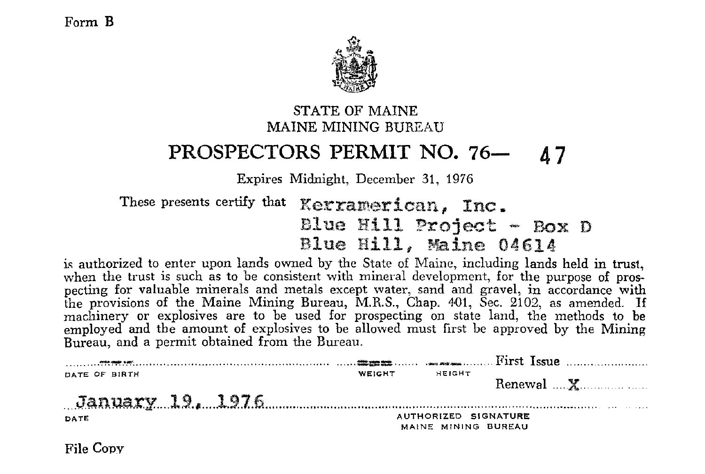

#### STATE OF MAINE MAINE MINING BUREAU

### **PROSPECTORS PERMIT NO. 76- 47**

Expires Midnight, December 31, 1976

These presents certify that **Kerramerican, Inc.** Blue Hill Project - Box D **Blue Hill, Maine** 04614

is authorized to enter upon lands owned by the State of Maine, including lands held in trust, when the trust is such as to be consistent with mineral development, for the purpose of prospecting for valuable minerals and metals except water, sand and gravel, in accordance with the provisions of the Maine Mining Bureau, M.R.S., Chap.  $401$ , Sec.  $2102$ , as amended. If machinery or explosives are to be used for prospecting on state land, the methods to be employed and the amount of explosives to be allowed must first he approved by the Mining Bureau, and a permit obtained from the Bureau.

|               | WEIGHT | HEIGHT                                      |  |
|---------------|--------|---------------------------------------------|--|
| DATE OF BIRTH |        |                                             |  |
| DATE          |        | AUTHORIZED SIGNATURE<br>MAINE MINING BUREAU |  |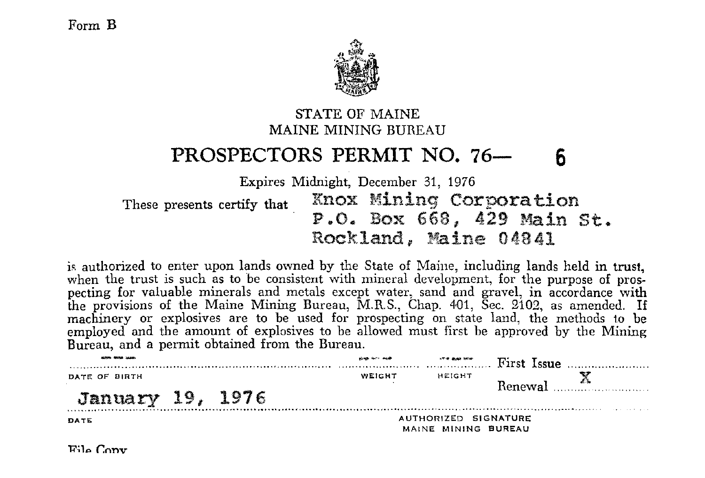

#### STATE OF MAINE MAINE MINING BUREAU

### **PROSPECTORS PERMIT NO. 76- 6**

Expires Midnight, December 31, 1976

These presents certify that Knox Mining Corporation<br>P.O. Box 668, 429 Main St. Rockland, Maine 04841

is authorized to enter upon lands owned by the State of Maine, including lands held in trust, when the trust is such as to be consistent with mineral development, for the purpose of prospecting for valuable minerals and metals except water, sand and gravel, in accordance with the provisions of the Maine Mining Bureau, M.R.S., Chap. 401, Sec. 2102, as amended. If machinery or explosives are to be used for prospecting on state land, the methods to be employed and the amount of explosives to be allowed must first be approved by the Mining Bureau, and a permit obtained from the Bureau.

| MORE RESEARCH    |  | shop for: mode | <b>STR BAR MOR</b>                          | $\ldots$ First Issue $\ldots$ |
|------------------|--|----------------|---------------------------------------------|-------------------------------|
| DATE OF BIRTH    |  | WEIGHT         | HEIGHT                                      | Renewal <sup>A</sup>          |
| January 19, 1976 |  |                |                                             |                               |
| DATE             |  |                | AUTHORIZED SIGNATURE<br>MAINE MINING BUREAU |                               |

**l?~lo r.nnv**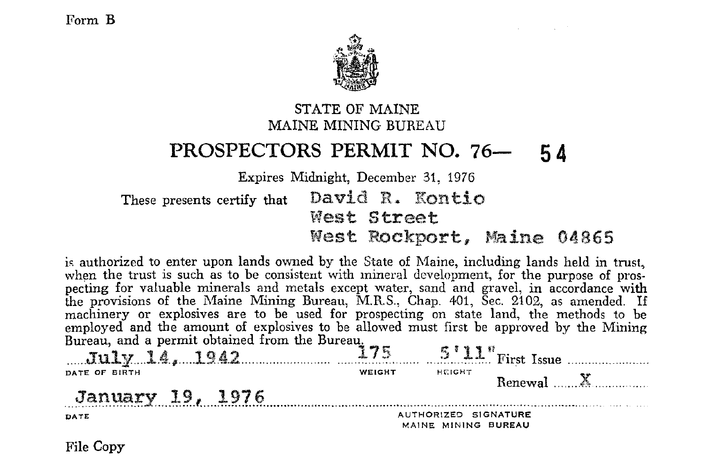

#### STATE OF MAINE MAINE MINING BUREAU

### PROSPECTORS PERMIT NO. 76- 54

Expires Midnight, December 31, 1976

David R. Kontio These presents certify that West Street West Rockport. Maine 04865

is authorized to enter upon lands owned by the State of Maine, including lands held in trust. when the trust is such as to be consistent with mineral development, for the purpose of prosnecting for valuable minerals and metals except water, sand and gravel, in accordance with the provisions of the Maine Mining Bureau, M.R.S., Chap. 401, Sec. 2102, as amended. If machinery or explosives are to be used for prospecting on state land, the methods to be employed and the amount of explosives to be allowed must first be approved by the Mining

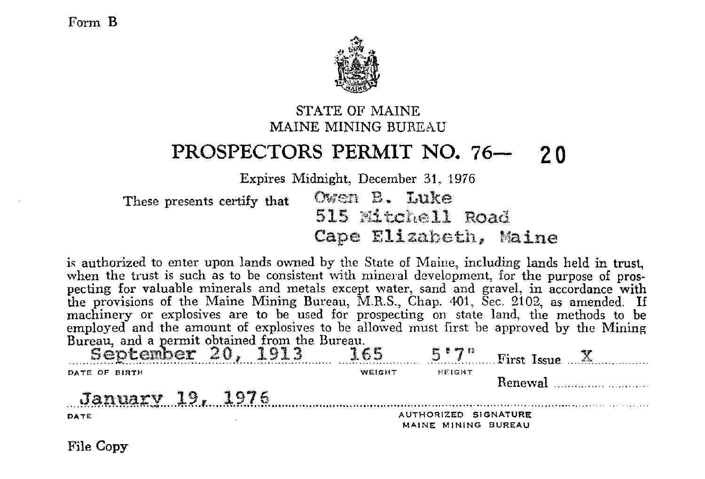

#### STATE OF MAINE MAINE MINING BUREAU

### PROSPECTORS PERMIT NO. 76- 20

Expires Midnight, December 31, 1976

Owen B. Luke These presents certify that 515 Mitchell Road Cape Elizabeth, Maine

is authorized to enter upon lands owned by the State of Maine, including lands held in trust. when the trust is such as to be consistent with mineral development, for the purpose of prospecting for valuable minerals and metals except water, sand and gravel, in accordance with the provisions of the Maine Mining Bureau, M.R.S., Chap. 401, Sec. 2102, as amended. If machinery or explosives are to be used for prospecting on state land, the methods to be employed and the amount of explosives to be allowed must first be approved by the Mining Bureau, and a permit obtained from the Bureau.

| September 20, | 1913 | -65    | $5.7^\circ$                                 | First Issue $\mathbb{Z}$ . |  |
|---------------|------|--------|---------------------------------------------|----------------------------|--|
| DATE OF BIRTH |      | WEIGHT | HEIGHT                                      |                            |  |
| January 19.   | 1976 |        |                                             | Renewal                    |  |
| DATE          | ٠.   |        | AUTHORIZED SIGNATURE<br>MAINE MINING BUREAU |                            |  |